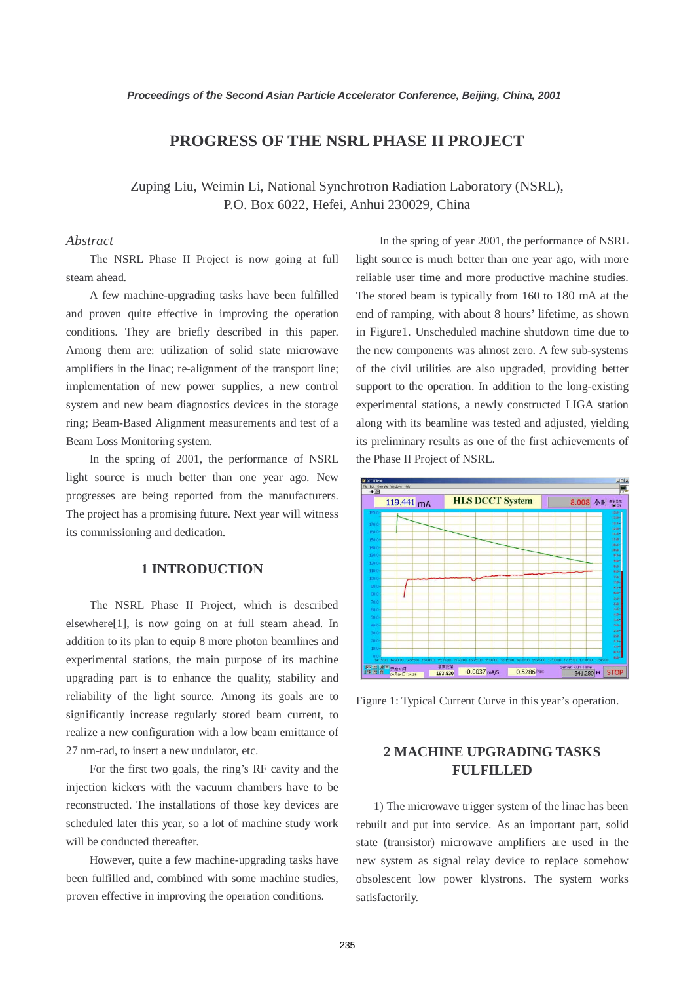## **PROGRESS OF THE NSRL PHASE II PROJECT**

Zuping Liu, Weimin Li, National Synchrotron Radiation Laboratory (NSRL), P.O. Box 6022, Hefei, Anhui 230029, China

### *Abstract*

 The NSRL Phase II Project is now going at full steam ahead.

 A few machine-upgrading tasks have been fulfilled and proven quite effective in improving the operation conditions. They are briefly described in this paper. Among them are: utilization of solid state microwave amplifiers in the linac; re-alignment of the transport line; implementation of new power supplies, a new control system and new beam diagnostics devices in the storage ring; Beam-Based Alignment measurements and test of a Beam Loss Monitoring system.

 In the spring of 2001, the performance of NSRL light source is much better than one year ago. New progresses are being reported from the manufacturers. The project has a promising future. Next year will witness its commissioning and dedication.

### **1 INTRODUCTION**

 The NSRL Phase II Project, which is described elsewhere[1], is now going on at full steam ahead. In addition to its plan to equip 8 more photon beamlines and experimental stations, the main purpose of its machine upgrading part is to enhance the quality, stability and reliability of the light source. Among its goals are to significantly increase regularly stored beam current, to realize a new configuration with a low beam emittance of 27 nm-rad, to insert a new undulator, etc.

 For the first two goals, the ring's RF cavity and the injection kickers with the vacuum chambers have to be reconstructed. The installations of those key devices are scheduled later this year, so a lot of machine study work will be conducted thereafter.

 However, quite a few machine-upgrading tasks have been fulfilled and, combined with some machine studies, proven effective in improving the operation conditions.

 In the spring of year 2001, the performance of NSRL light source is much better than one year ago, with more reliable user time and more productive machine studies. The stored beam is typically from 160 to 180 mA at the end of ramping, with about 8 hours' lifetime, as shown in Figure1. Unscheduled machine shutdown time due to the new components was almost zero. A few sub-systems of the civil utilities are also upgraded, providing better support to the operation. In addition to the long-existing experimental stations, a newly constructed LIGA station along with its beamline was tested and adjusted, yielding its preliminary results as one of the first achievements of the Phase II Project of NSRL.



Figure 1: Typical Current Curve in this year's operation.

# **2 MACHINE UPGRADING TASKS FULFILLED**

 1) The microwave trigger system of the linac has been rebuilt and put into service. As an important part, solid state (transistor) microwave amplifiers are used in the new system as signal relay device to replace somehow obsolescent low power klystrons. The system works satisfactorily.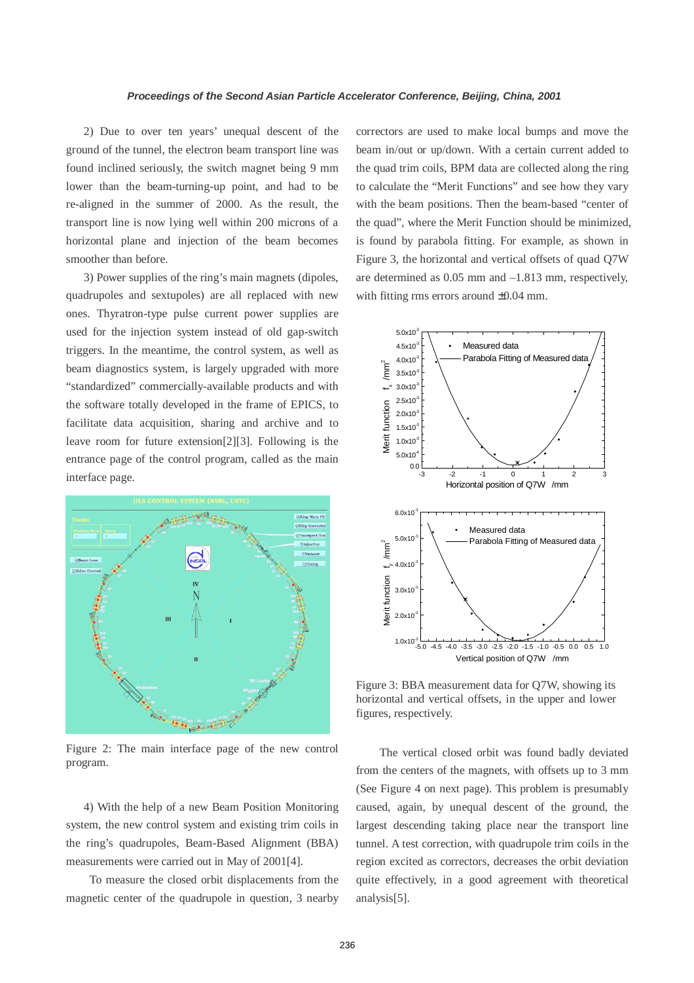2) Due to over ten years' unequal descent of the ground of the tunnel, the electron beam transport line was found inclined seriously, the switch magnet being 9 mm lower than the beam-turning-up point, and had to be re-aligned in the summer of 2000. As the result, the transport line is now lying well within 200 microns of a horizontal plane and injection of the beam becomes smoother than before.

 3) Power supplies of the ring's main magnets (dipoles, quadrupoles and sextupoles) are all replaced with new ones. Thyratron-type pulse current power supplies are used for the injection system instead of old gap-switch triggers. In the meantime, the control system, as well as beam diagnostics system, is largely upgraded with more "standardized" commercially-available products and with the software totally developed in the frame of EPICS, to facilitate data acquisition, sharing and archive and to leave room for future extension[2][3]. Following is the entrance page of the control program, called as the main interface page.



Figure 2: The main interface page of the new control program.

 4) With the help of a new Beam Position Monitoring system, the new control system and existing trim coils in the ring's quadrupoles, Beam-Based Alignment (BBA) measurements were carried out in May of 2001[4].

 To measure the closed orbit displacements from the magnetic center of the quadrupole in question, 3 nearby correctors are used to make local bumps and move the beam in/out or up/down. With a certain current added to the quad trim coils, BPM data are collected along the ring to calculate the "Merit Functions" and see how they vary with the beam positions. Then the beam-based "center of the quad", where the Merit Function should be minimized, is found by parabola fitting. For example, as shown in Figure 3, the horizontal and vertical offsets of quad Q7W are determined as 0.05 mm and –1.813 mm, respectively, with fitting rms errors around  $\pm 0.04$  mm.



Figure 3: BBA measurement data for Q7W, showing its horizontal and vertical offsets, in the upper and lower figures, respectively.

 The vertical closed orbit was found badly deviated from the centers of the magnets, with offsets up to 3 mm (See Figure 4 on next page). This problem is presumably caused, again, by unequal descent of the ground, the largest descending taking place near the transport line tunnel. A test correction, with quadrupole trim coils in the region excited as correctors, decreases the orbit deviation quite effectively, in a good agreement with theoretical analysis[5].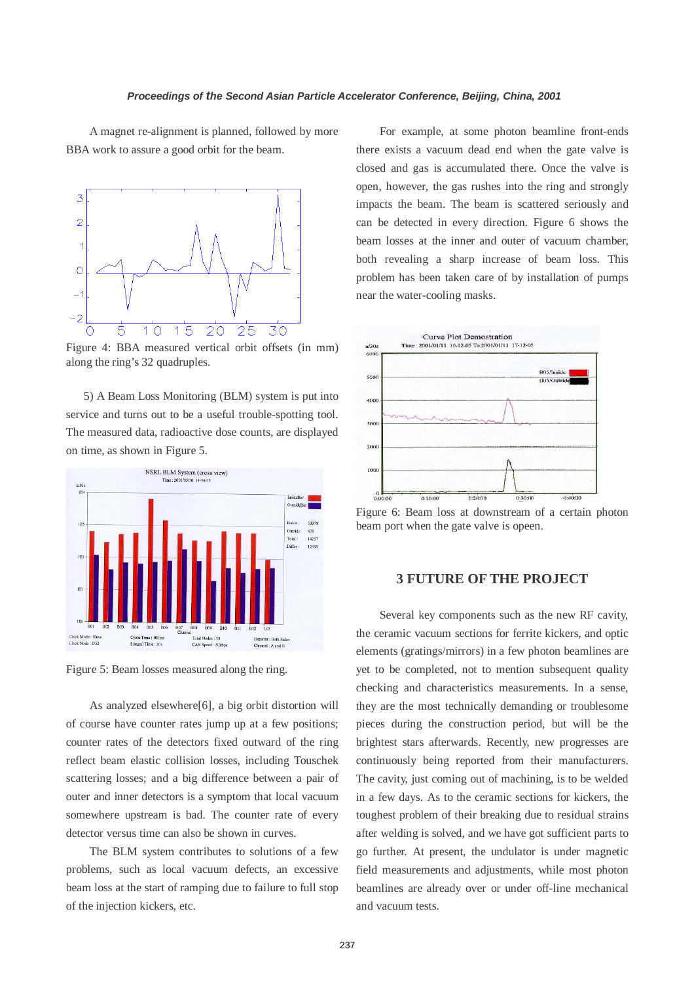A magnet re-alignment is planned, followed by more BBA work to assure a good orbit for the beam.



Figure 4: BBA measured vertical orbit offsets (in mm) along the ring's 32 quadruples.

 5) A Beam Loss Monitoring (BLM) system is put into service and turns out to be a useful trouble-spotting tool. The measured data, radioactive dose counts, are displayed on time, as shown in Figure 5.



Figure 5: Beam losses measured along the ring.

 As analyzed elsewhere[6], a big orbit distortion will of course have counter rates jump up at a few positions; counter rates of the detectors fixed outward of the ring reflect beam elastic collision losses, including Touschek scattering losses; and a big difference between a pair of outer and inner detectors is a symptom that local vacuum somewhere upstream is bad. The counter rate of every detector versus time can also be shown in curves.

 The BLM system contributes to solutions of a few problems, such as local vacuum defects, an excessive beam loss at the start of ramping due to failure to full stop of the injection kickers, etc.

 For example, at some photon beamline front-ends there exists a vacuum dead end when the gate valve is closed and gas is accumulated there. Once the valve is open, however, the gas rushes into the ring and strongly impacts the beam. The beam is scattered seriously and can be detected in every direction. Figure 6 shows the beam losses at the inner and outer of vacuum chamber, both revealing a sharp increase of beam loss. This problem has been taken care of by installation of pumps near the water-cooling masks.



Figure 6: Beam loss at downstream of a certain photon beam port when the gate valve is opeen.

#### **3 FUTURE OF THE PROJECT**

 Several key components such as the new RF cavity, the ceramic vacuum sections for ferrite kickers, and optic elements (gratings/mirrors) in a few photon beamlines are yet to be completed, not to mention subsequent quality checking and characteristics measurements. In a sense, they are the most technically demanding or troublesome pieces during the construction period, but will be the brightest stars afterwards. Recently, new progresses are continuously being reported from their manufacturers. The cavity, just coming out of machining, is to be welded in a few days. As to the ceramic sections for kickers, the toughest problem of their breaking due to residual strains after welding is solved, and we have got sufficient parts to go further. At present, the undulator is under magnetic field measurements and adjustments, while most photon beamlines are already over or under off-line mechanical and vacuum tests.